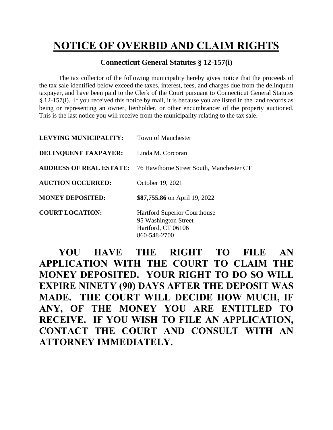## **NOTICE OF OVERBID AND CLAIM RIGHTS**

## **Connecticut General Statutes § 12-157(i)**

The tax collector of the following municipality hereby gives notice that the proceeds of the tax sale identified below exceed the taxes, interest, fees, and charges due from the delinquent taxpayer, and have been paid to the Clerk of the Court pursuant to Connecticut General Statutes § 12-157(i). If you received this notice by mail, it is because you are listed in the land records as being or representing an owner, lienholder, or other encumbrancer of the property auctioned. This is the last notice you will receive from the municipality relating to the tax sale.

| <b>LEVYING MUNICIPALITY:</b> | <b>Town of Manchester</b>                                                                         |
|------------------------------|---------------------------------------------------------------------------------------------------|
| <b>DELINQUENT TAXPAYER:</b>  | Linda M. Corcoran                                                                                 |
|                              | <b>ADDRESS OF REAL ESTATE:</b> 76 Hawthorne Street South, Manchester CT                           |
| <b>AUCTION OCCURRED:</b>     | October 19, 2021                                                                                  |
| <b>MONEY DEPOSITED:</b>      | \$87,755.86 on April 19, 2022                                                                     |
| <b>COURT LOCATION:</b>       | <b>Hartford Superior Courthouse</b><br>95 Washington Street<br>Hartford, CT 06106<br>860-548-2700 |

**YOU HAVE THE RIGHT TO FILE AN APPLICATION WITH THE COURT TO CLAIM THE MONEY DEPOSITED. YOUR RIGHT TO DO SO WILL EXPIRE NINETY (90) DAYS AFTER THE DEPOSIT WAS MADE. THE COURT WILL DECIDE HOW MUCH, IF ANY, OF THE MONEY YOU ARE ENTITLED TO RECEIVE. IF YOU WISH TO FILE AN APPLICATION, CONTACT THE COURT AND CONSULT WITH AN ATTORNEY IMMEDIATELY.**